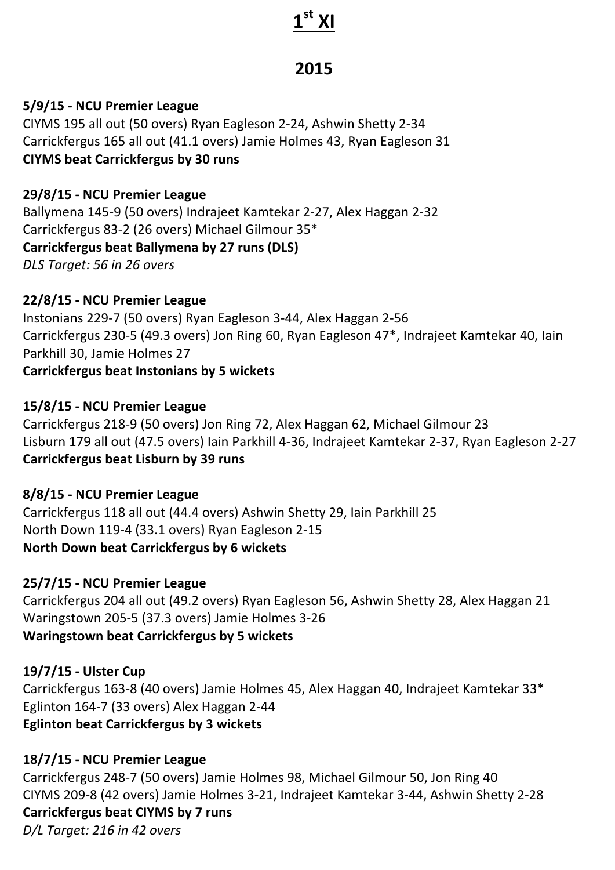# **1st XI**

## **2015**

#### **5/9/15 - NCU Premier League**

CIYMS 195 all out (50 overs) Ryan Eagleson 2-24, Ashwin Shetty 2-34 Carrickfergus 165 all out (41.1 overs) Jamie Holmes 43, Ryan Eagleson 31 **CIYMS beat Carrickfergus by 30 runs**

#### **29/8/15 - NCU Premier League**

Ballymena 145-9 (50 overs) Indrajeet Kamtekar 2-27, Alex Haggan 2-32 Carrickfergus 83-2 (26 overs) Michael Gilmour 35\* **Carrickfergus beat Ballymena by 27 runs (DLS)** *DLS Target: 56 in 26 overs*

#### **22/8/15 - NCU Premier League**

Instonians 229-7 (50 overs) Ryan Eagleson 3-44, Alex Haggan 2-56 Carrickfergus 230-5 (49.3 overs) Jon Ring 60, Ryan Eagleson 47\*, Indrajeet Kamtekar 40, Iain Parkhill 30, Jamie Holmes 27 **Carrickfergus beat Instonians by 5 wickets** 

#### **15/8/15 - NCU Premier League**

Carrickfergus 218-9 (50 overs) Jon Ring 72, Alex Haggan 62, Michael Gilmour 23 Lisburn 179 all out (47.5 overs) Iain Parkhill 4-36, Indrajeet Kamtekar 2-37, Ryan Eagleson 2-27 **Carrickfergus beat Lisburn by 39 runs** 

#### **8/8/15 - NCU Premier League**

Carrickfergus 118 all out (44.4 overs) Ashwin Shetty 29, Iain Parkhill 25 North Down 119-4 (33.1 overs) Ryan Eagleson 2-15 **North Down beat Carrickfergus by 6 wickets** 

#### **25/7/15 - NCU Premier League**

Carrickfergus 204 all out (49.2 overs) Ryan Eagleson 56, Ashwin Shetty 28, Alex Haggan 21 Waringstown 205-5 (37.3 overs) Jamie Holmes 3-26 **Waringstown beat Carrickfergus by 5 wickets** 

#### **19/7/15 - Ulster Cup**

Carrickfergus 163-8 (40 overs) Jamie Holmes 45, Alex Haggan 40, Indrajeet Kamtekar 33\* Eglinton 164-7 (33 overs) Alex Haggan 2-44 **Eglinton beat Carrickfergus by 3 wickets** 

#### **18/7/15 - NCU Premier League**

Carrickfergus 248-7 (50 overs) Jamie Holmes 98, Michael Gilmour 50, Jon Ring 40 CIYMS 209-8 (42 overs) Jamie Holmes 3-21, Indrajeet Kamtekar 3-44, Ashwin Shetty 2-28 **Carrickfergus beat CIYMS by 7 runs** *D/L Target: 216 in 42 overs*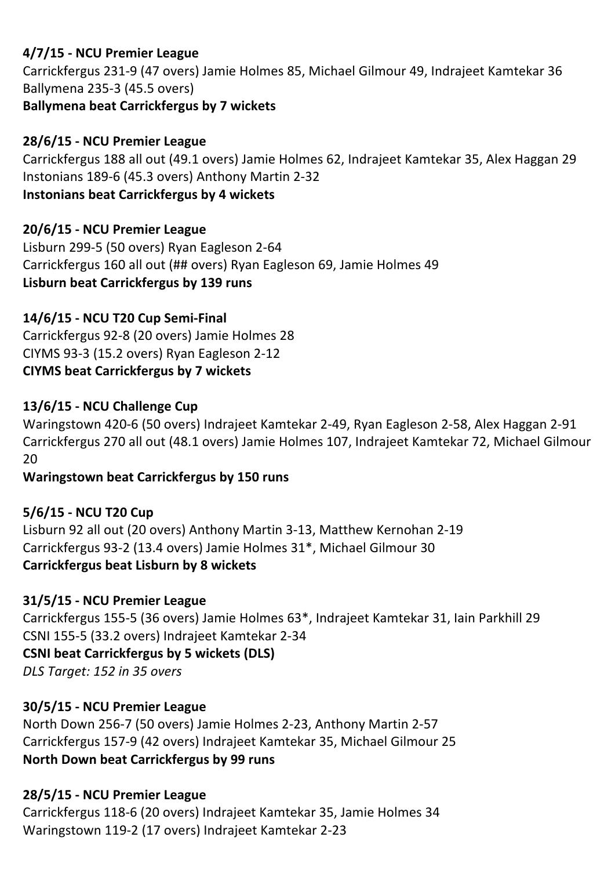### **4/7/15 - NCU Premier League**

Carrickfergus 231-9 (47 overs) Jamie Holmes 85, Michael Gilmour 49, Indrajeet Kamtekar 36 Ballymena 235-3 (45.5 overs) **Ballymena beat Carrickfergus by 7 wickets**

#### **28/6/15 - NCU Premier League**

Carrickfergus 188 all out (49.1 overs) Jamie Holmes 62, Indrajeet Kamtekar 35, Alex Haggan 29 Instonians 189-6 (45.3 overs) Anthony Martin 2-32 **Instonians beat Carrickfergus by 4 wickets** 

#### **20/6/15 - NCU Premier League**

Lisburn 299-5 (50 overs) Ryan Eagleson 2-64 Carrickfergus 160 all out (## overs) Ryan Eagleson 69, Jamie Holmes 49 **Lisburn beat Carrickfergus by 139 runs** 

#### **14/6/15 - NCU T20 Cup Semi-Final**

Carrickfergus 92-8 (20 overs) Jamie Holmes 28 CIYMS 93-3 (15.2 overs) Ryan Eagleson 2-12 **CIYMS beat Carrickfergus by 7 wickets**

#### **13/6/15 - NCU Challenge Cup**

Waringstown 420-6 (50 overs) Indrajeet Kamtekar 2-49, Ryan Eagleson 2-58, Alex Haggan 2-91 Carrickfergus 270 all out (48.1 overs) Jamie Holmes 107, Indrajeet Kamtekar 72, Michael Gilmour 20

#### **Waringstown beat Carrickfergus by 150 runs**

#### **5/6/15 - NCU T20 Cup**

Lisburn 92 all out (20 overs) Anthony Martin 3-13, Matthew Kernohan 2-19 Carrickfergus 93-2 (13.4 overs) Jamie Holmes 31\*, Michael Gilmour 30 **Carrickfergus beat Lisburn by 8 wickets**

#### **31/5/15 - NCU Premier League**

Carrickfergus 155-5 (36 overs) Jamie Holmes 63\*, Indrajeet Kamtekar 31, Iain Parkhill 29 CSNI 155-5 (33.2 overs) Indrajeet Kamtekar 2-34 **CSNI** beat Carrickfergus by 5 wickets (DLS) *DLS Target: 152 in 35 overs*

#### **30/5/15 - NCU Premier League**

North Down 256-7 (50 overs) Jamie Holmes 2-23, Anthony Martin 2-57 Carrickfergus 157-9 (42 overs) Indrajeet Kamtekar 35, Michael Gilmour 25 **North Down beat Carrickfergus by 99 runs** 

#### **28/5/15 - NCU Premier League**

Carrickfergus 118-6 (20 overs) Indrajeet Kamtekar 35, Jamie Holmes 34 Waringstown 119-2 (17 overs) Indrajeet Kamtekar 2-23